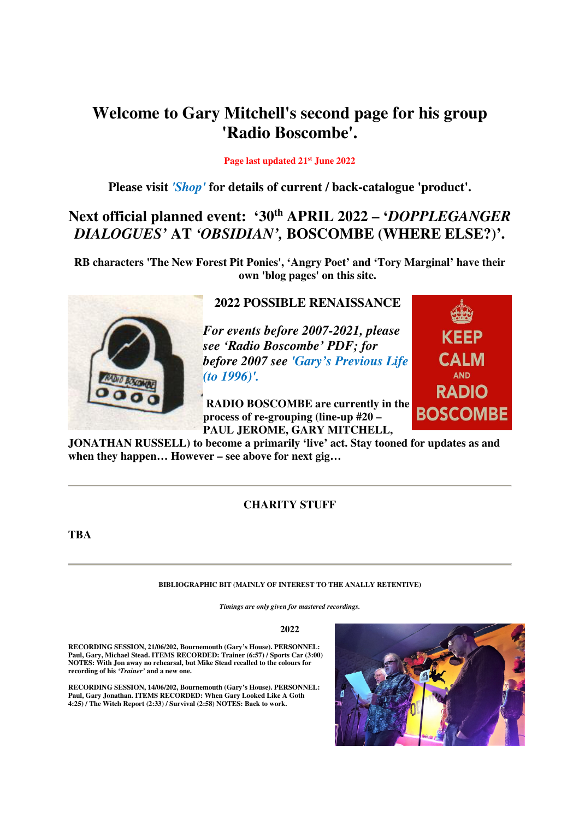# **Welcome to Gary Mitchell's second page for his group 'Radio Boscombe'.**

### **Page last updated 21st June 2022**

**Please visit** *'Shop'* **for details of current / back-catalogue 'product'.** 

# **Next official planned event: '30th APRIL 2022 – '***DOPPLEGANGER DIALOGUES'* **AT** *'OBSIDIAN',* **BOSCOMBE (WHERE ELSE?)'.**

**RB characters 'The New Forest Pit Ponies', 'Angry Poet' and 'Tory Marginal' have their own 'blog pages' on this site.** 



## **2022 POSSIBLE RENAISSANCE**

*For events before 2007-2021, please see 'Radio Boscombe' PDF; for before 2007 see 'Gary's Previous Life (to 1996)'.* 

 **RADIO BOSCOMBE are currently in the process of re-grouping (line-up #20 – PAUL JEROME, GARY MITCHELL,** 



**JONATHAN RUSSELL) to become a primarily 'live' act. Stay tooned for updates as and when they happen… However – see above for next gig…** 

## **CHARITY STUFF**

**TBA** 

### **BIBLIOGRAPHIC BIT (MAINLY OF INTEREST TO THE ANALLY RETENTIVE)**

*Timings are only given for mastered recordings.*

### **2022**

**RECORDING SESSION, 21/06/202, Bournemouth (Gary's House). PERSONNEL: Paul, Gary, Michael Stead. ITEMS RECORDED: Trainer (6:57) / Sports Car (3:00) NOTES: With Jon away no rehearsal, but Mike Stead recalled to the colours for recording of his** *'Trainer'* **and a new one.** 

**RECORDING SESSION, 14/06/202, Bournemouth (Gary's House). PERSONNEL: Paul, Gary Jonathan. ITEMS RECORDED: When Gary Looked Like A Goth 4:25) / The Witch Report (2:33) / Survival (2:58) NOTES: Back to work.**